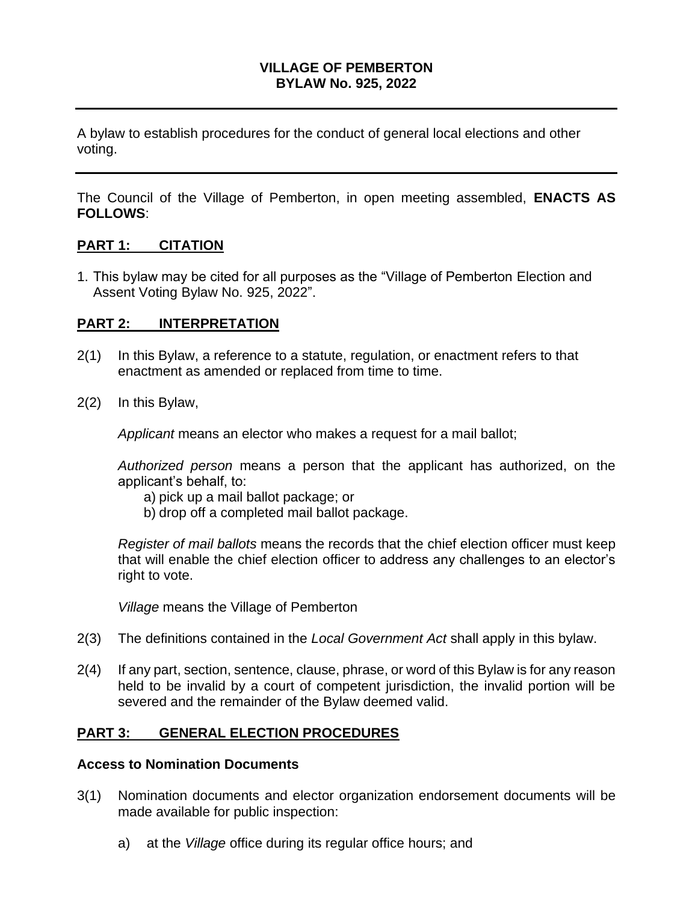#### **VILLAGE OF PEMBERTON BYLAW No. 925, 2022**

A bylaw to establish procedures for the conduct of general local elections and other voting.

The Council of the Village of Pemberton, in open meeting assembled, **ENACTS AS FOLLOWS**:

#### **PART 1: CITATION**

1. This bylaw may be cited for all purposes as the "Village of Pemberton Election and Assent Voting Bylaw No. 925, 2022".

#### **PART 2: INTERPRETATION**

- 2(1) In this Bylaw, a reference to a statute, regulation, or enactment refers to that enactment as amended or replaced from time to time.
- 2(2) In this Bylaw,

*Applicant* means an elector who makes a request for a mail ballot;

*Authorized person* means a person that the applicant has authorized, on the applicant's behalf, to:

- a) pick up a mail ballot package; or
- b) drop off a completed mail ballot package.

*Register of mail ballots* means the records that the chief election officer must keep that will enable the chief election officer to address any challenges to an elector's right to vote.

*Village* means the Village of Pemberton

- 2(3) The definitions contained in the *Local Government Act* shall apply in this bylaw.
- 2(4) If any part, section, sentence, clause, phrase, or word of this Bylaw is for any reason held to be invalid by a court of competent jurisdiction, the invalid portion will be severed and the remainder of the Bylaw deemed valid.

### **PART 3: GENERAL ELECTION PROCEDURES**

#### **Access to Nomination Documents**

- 3(1) Nomination documents and elector organization endorsement documents will be made available for public inspection:
	- a) at the *Village* office during its regular office hours; and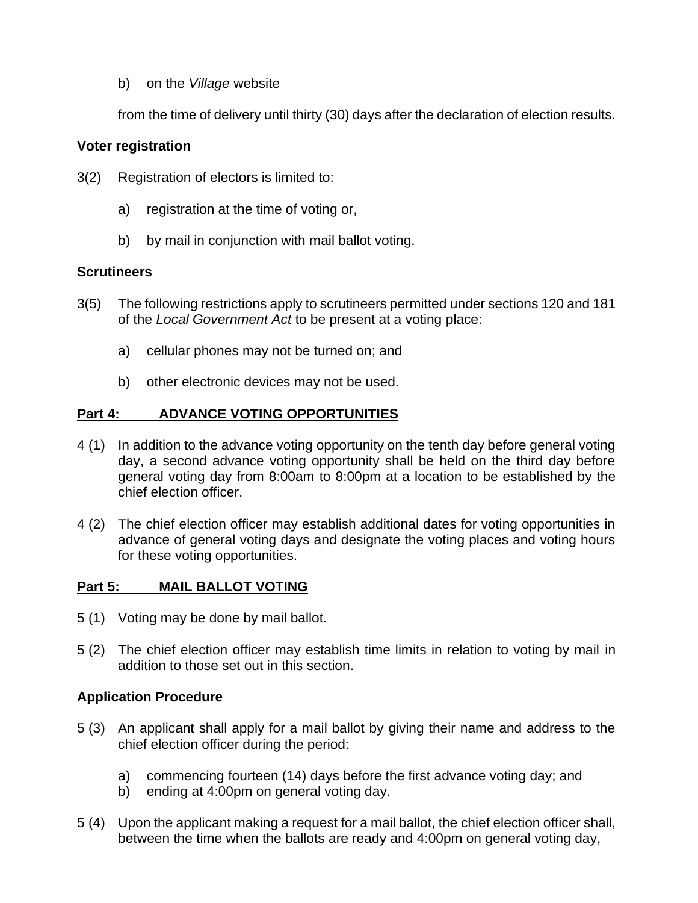b) on the *Village* website

from the time of delivery until thirty (30) days after the declaration of election results.

#### **Voter registration**

- 3(2) Registration of electors is limited to:
	- a) registration at the time of voting or,
	- b) by mail in conjunction with mail ballot voting.

#### **Scrutineers**

- 3(5) The following restrictions apply to scrutineers permitted under sections 120 and 181 of the *Local Government Act* to be present at a voting place:
	- a) cellular phones may not be turned on; and
	- b) other electronic devices may not be used.

## **Part 4: ADVANCE VOTING OPPORTUNITIES**

- 4 (1) In addition to the advance voting opportunity on the tenth day before general voting day, a second advance voting opportunity shall be held on the third day before general voting day from 8:00am to 8:00pm at a location to be established by the chief election officer.
- 4 (2) The chief election officer may establish additional dates for voting opportunities in advance of general voting days and designate the voting places and voting hours for these voting opportunities.

### **Part 5: MAIL BALLOT VOTING**

- 5 (1) Voting may be done by mail ballot.
- 5 (2) The chief election officer may establish time limits in relation to voting by mail in addition to those set out in this section.

### **Application Procedure**

- 5 (3) An applicant shall apply for a mail ballot by giving their name and address to the chief election officer during the period:
	- a) commencing fourteen (14) days before the first advance voting day; and
	- b) ending at 4:00pm on general voting day.
- 5 (4) Upon the applicant making a request for a mail ballot, the chief election officer shall, between the time when the ballots are ready and 4:00pm on general voting day,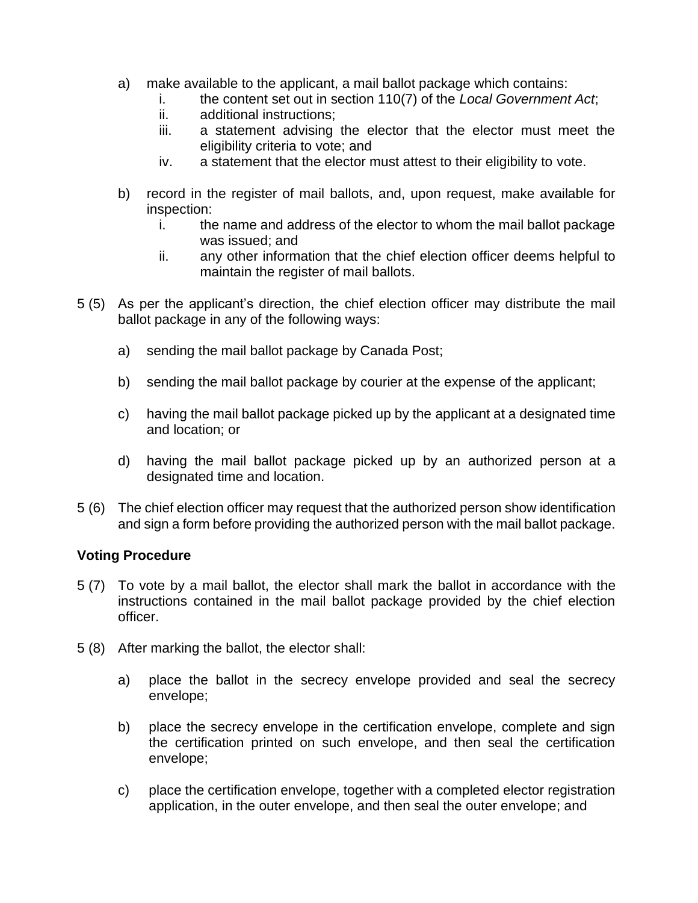- a) make available to the applicant, a mail ballot package which contains:
	- i. the content set out in section 110(7) of the *Local Government Act*;
	- ii. additional instructions;
	- iii. a statement advising the elector that the elector must meet the eligibility criteria to vote; and
	- iv. a statement that the elector must attest to their eligibility to vote.
- b) record in the register of mail ballots, and, upon request, make available for inspection:
	- i. the name and address of the elector to whom the mail ballot package was issued; and
	- ii. any other information that the chief election officer deems helpful to maintain the register of mail ballots.
- 5 (5) As per the applicant's direction, the chief election officer may distribute the mail ballot package in any of the following ways:
	- a) sending the mail ballot package by Canada Post;
	- b) sending the mail ballot package by courier at the expense of the applicant;
	- c) having the mail ballot package picked up by the applicant at a designated time and location; or
	- d) having the mail ballot package picked up by an authorized person at a designated time and location.
- 5 (6) The chief election officer may request that the authorized person show identification and sign a form before providing the authorized person with the mail ballot package.

### **Voting Procedure**

- 5 (7) To vote by a mail ballot, the elector shall mark the ballot in accordance with the instructions contained in the mail ballot package provided by the chief election officer.
- 5 (8) After marking the ballot, the elector shall:
	- a) place the ballot in the secrecy envelope provided and seal the secrecy envelope;
	- b) place the secrecy envelope in the certification envelope, complete and sign the certification printed on such envelope, and then seal the certification envelope;
	- c) place the certification envelope, together with a completed elector registration application, in the outer envelope, and then seal the outer envelope; and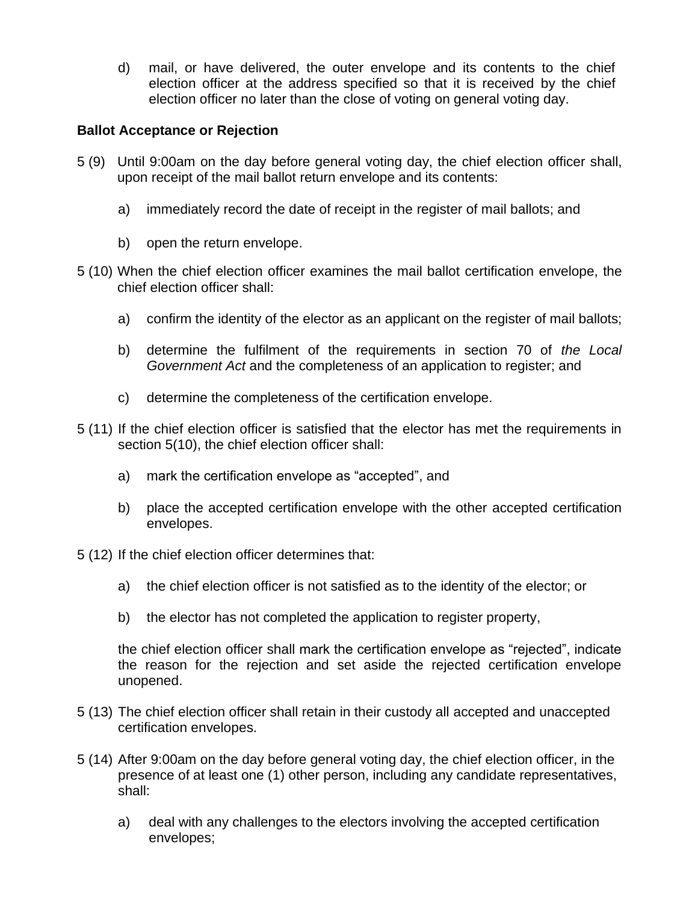d) mail, or have delivered, the outer envelope and its contents to the chief election officer at the address specified so that it is received by the chief election officer no later than the close of voting on general voting day.

## **Ballot Acceptance or Rejection**

- 5 (9) Until 9:00am on the day before general voting day, the chief election officer shall, upon receipt of the mail ballot return envelope and its contents:
	- a) immediately record the date of receipt in the register of mail ballots; and
	- b) open the return envelope.
- 5 (10) When the chief election officer examines the mail ballot certification envelope, the chief election officer shall:
	- a) confirm the identity of the elector as an applicant on the register of mail ballots;
	- b) determine the fulfilment of the requirements in section 70 of *the Local Government Act* and the completeness of an application to register; and
	- c) determine the completeness of the certification envelope.
- 5 (11) If the chief election officer is satisfied that the elector has met the requirements in section 5(10), the chief election officer shall:
	- a) mark the certification envelope as "accepted", and
	- b) place the accepted certification envelope with the other accepted certification envelopes.
- 5 (12) If the chief election officer determines that:
	- a) the chief election officer is not satisfied as to the identity of the elector; or
	- b) the elector has not completed the application to register property,

the chief election officer shall mark the certification envelope as "rejected", indicate the reason for the rejection and set aside the rejected certification envelope unopened.

- 5 (13) The chief election officer shall retain in their custody all accepted and unaccepted certification envelopes.
- 5 (14) After 9:00am on the day before general voting day, the chief election officer, in the presence of at least one (1) other person, including any candidate representatives, shall:
	- a) deal with any challenges to the electors involving the accepted certification envelopes;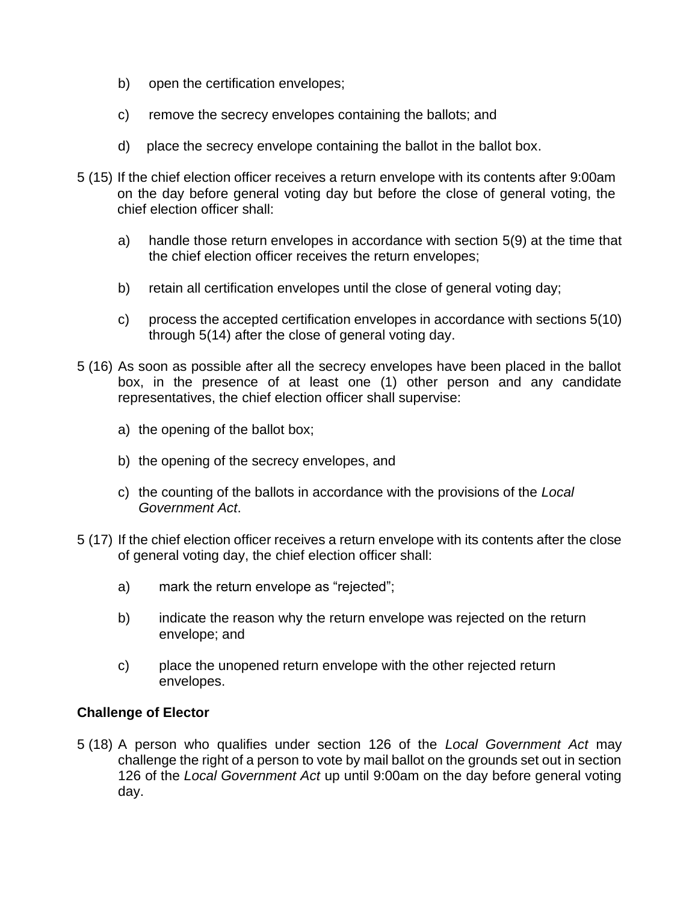- b) open the certification envelopes;
- c) remove the secrecy envelopes containing the ballots; and
- d) place the secrecy envelope containing the ballot in the ballot box.
- 5 (15) If the chief election officer receives a return envelope with its contents after 9:00am on the day before general voting day but before the close of general voting, the chief election officer shall:
	- a) handle those return envelopes in accordance with section 5(9) at the time that the chief election officer receives the return envelopes;
	- b) retain all certification envelopes until the close of general voting day;
	- c) process the accepted certification envelopes in accordance with sections 5(10) through 5(14) after the close of general voting day.
- 5 (16) As soon as possible after all the secrecy envelopes have been placed in the ballot box, in the presence of at least one (1) other person and any candidate representatives, the chief election officer shall supervise:
	- a) the opening of the ballot box;
	- b) the opening of the secrecy envelopes, and
	- c) the counting of the ballots in accordance with the provisions of the *Local Government Act*.
- 5 (17) If the chief election officer receives a return envelope with its contents after the close of general voting day, the chief election officer shall:
	- a) mark the return envelope as "rejected";
	- b) indicate the reason why the return envelope was rejected on the return envelope; and
	- c) place the unopened return envelope with the other rejected return envelopes.

### **Challenge of Elector**

5 (18) A person who qualifies under section 126 of the *Local Government Act* may challenge the right of a person to vote by mail ballot on the grounds set out in section 126 of the *Local Government Act* up until 9:00am on the day before general voting day.